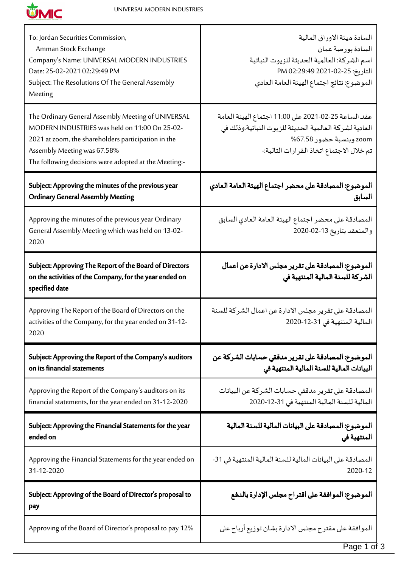

Т

| To: Jordan Securities Commission,<br>Amman Stock Exchange<br>Company's Name: UNIVERSAL MODERN INDUSTRIES<br>Date: 25-02-2021 02:29:49 PM<br>Subject: The Resolutions Of The General Assembly<br>Meeting                                            | السادة ميئة الاوراق المالية<br>السادة بورصة عمان<br>اسم الشركة: العالمية الحديثة للزيوت النباتية<br>التاريخ: 25-02-2021 02:29:49 PM<br>الموضوع: نتائج اجتماع الهيئة العامة العادي      |
|----------------------------------------------------------------------------------------------------------------------------------------------------------------------------------------------------------------------------------------------------|----------------------------------------------------------------------------------------------------------------------------------------------------------------------------------------|
| The Ordinary General Assembly Meeting of UNIVERSAL<br>MODERN INDUSTRIES was held on 11:00 On 25-02-<br>2021 at zoom, the shareholders participation in the<br>Assembly Meeting was 67.58%<br>The following decisions were adopted at the Meeting:- | عقد الساعة 25-02-2021 على 11:00 اجتماع الهيئة العامة<br>العادية لشركة العالمية الحديثة للزيوت النباتية.وذلك في<br>zoom وبنسبة حضور 67.58%<br>تم خلال الاجتماع اتخاذ القرارات التالية:- |
| Subject: Approving the minutes of the previous year<br><b>Ordinary General Assembly Meeting</b>                                                                                                                                                    | الموضوع: المصادقة على محضر اجتماع الهيئة العامة العادي<br>السابق                                                                                                                       |
| Approving the minutes of the previous year Ordinary<br>General Assembly Meeting which was held on 13-02-<br>2020                                                                                                                                   | المصادقة على محضر اجتماع الهيئة العامة العادي السابق<br>والمنعقد بتاريخ 13-02-2020                                                                                                     |
| Subject: Approving The Report of the Board of Directors<br>on the activities of the Company, for the year ended on<br>specified date                                                                                                               | الموضوع: المصادقة على تقرير مجلس الادارة عن اعمال<br>الشركة للسنة المالية المنتهية في                                                                                                  |
| Approving The Report of the Board of Directors on the<br>activities of the Company, for the year ended on 31-12-<br>2020                                                                                                                           | المصادقة على تقرير مجلس الادارة عن اعمال الشركة للسنة<br>المالية المنتهية في 31-12-2020                                                                                                |
| Subject: Approving the Report of the Company's auditors<br>on its financial statements                                                                                                                                                             | الموضوع: المصادقة على تقرير مدققي حسابات الشركة عن<br>البيانات المالية للسنة المالية المنتهية في                                                                                       |
| Approving the Report of the Company's auditors on its<br>financial statements, for the year ended on 31-12-2020                                                                                                                                    | المصادقة على تقرير مدققي حسابات الشركة عن البيانات<br>المالية للسنة المالية المنتهية في 31-12-2020                                                                                     |
| Subject: Approving the Financial Statements for the year<br>ended on                                                                                                                                                                               | الموضوع: المصادقة على البيانات المالية للسنة المالية<br>المنتهية في                                                                                                                    |
| Approving the Financial Statements for the year ended on<br>31-12-2020                                                                                                                                                                             | المصادقة على البيانات المالية للسنة المالية المنتهية في 31-<br>2020-12                                                                                                                 |
| Subject: Approving of the Board of Director's proposal to<br>pay                                                                                                                                                                                   | الموضوع: الموافقة على اقتراح مجلس الإدارة بالدفع                                                                                                                                       |
| Approving of the Board of Director's proposal to pay 12%                                                                                                                                                                                           | الموافقة على مقترح مجلس الادارة بشان توزيع أرباح على                                                                                                                                   |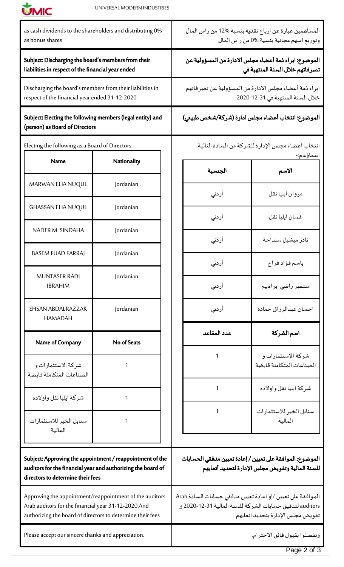

| as bonus shares                                                                                                                                                              | as cash dividends to the shareholders and distributing 0% |                                                                                            | المساهمين عبارة عن ارباح نقدية بنسية %12 من راس المال<br>وتوزيع اسهم مجانية بنسية %0 من راس المال                                                            |                                                |
|------------------------------------------------------------------------------------------------------------------------------------------------------------------------------|-----------------------------------------------------------|--------------------------------------------------------------------------------------------|--------------------------------------------------------------------------------------------------------------------------------------------------------------|------------------------------------------------|
| Subject: Discharging the board's members from their<br>liabilities in respect of the financial year ended                                                                    |                                                           |                                                                                            | الموضوع: ابراء ذمة أعضاء مجلس الادارة من المسؤولية عن<br>تصرفاتهم خلال السنة المنتهية في                                                                     |                                                |
| Discharging the board's members from their liabilities in<br>respect of the financial year ended 31-12-2020                                                                  |                                                           | ابراء ذمة أعضاء مجلس الادارة من المسؤولية عن تصرفاتهم<br>خلال السنة المنتهية في 31-12-2020 |                                                                                                                                                              |                                                |
| Subject: Electing the following members (legal entity) and<br>(person) as Board of Directors                                                                                 |                                                           |                                                                                            | الموضوع: انتخاب أعضاء مجلس ادارة (شركة/شخص طبيعي)                                                                                                            |                                                |
| Electing the following as a Board of Directors:                                                                                                                              |                                                           |                                                                                            | انتخاب اعضاء مجلس الإدارة للشركة من السادة التالية                                                                                                           |                                                |
| <b>Name</b>                                                                                                                                                                  | Nationality                                               |                                                                                            | الجنسية                                                                                                                                                      | اسماؤهم:-<br>الأسم                             |
| MARWAN ELIA NUQUL                                                                                                                                                            | Jordanian                                                 |                                                                                            | أردنى                                                                                                                                                        | مروان ايليا نقل                                |
| <b>GHASSAN ELIA NUQUL</b>                                                                                                                                                    | Jordanian                                                 |                                                                                            |                                                                                                                                                              | غسان ايليا نقل                                 |
| NADER M. SINDAHA                                                                                                                                                             | Jordanian                                                 |                                                                                            | أردني                                                                                                                                                        |                                                |
| <b>BASEM FUAD FARRAJ</b>                                                                                                                                                     | Jordanian                                                 |                                                                                            | أردني                                                                                                                                                        | نادر میشیل سنداحة                              |
|                                                                                                                                                                              |                                                           |                                                                                            | أردني                                                                                                                                                        | باسم فؤاد فراج                                 |
| <b>MUNTASER RADI</b><br><b>IBRAHIM</b>                                                                                                                                       | Jordanian                                                 |                                                                                            | أردني                                                                                                                                                        | منتصر راضي ابراهيم                             |
| <b>EHSAN ABDALRAZZAK</b><br><b>HAMADAH</b>                                                                                                                                   | Jordanian                                                 |                                                                                            | أردني                                                                                                                                                        | احسان عبدالرزاق حماده                          |
| Name of Company                                                                                                                                                              | No of Seats                                               |                                                                                            | عدد المقاعد                                                                                                                                                  | اسم الشركة                                     |
| شركة الاستثمارات و<br>الصناعات المتكاملة قابضة                                                                                                                               | 1                                                         |                                                                                            | $\mathbf{1}$                                                                                                                                                 | شركة الاستثمارات و<br>الصناعات المتكاملة قابضة |
| شركة ايليا نقل واولاده                                                                                                                                                       | 1                                                         |                                                                                            | 1                                                                                                                                                            | شركة ايليا نقل واولاده                         |
| سنابل الخير للاستثمارات<br>المالية                                                                                                                                           | 1                                                         |                                                                                            | 1                                                                                                                                                            | سنابل الخير للاستثمارات<br>المالية             |
|                                                                                                                                                                              |                                                           |                                                                                            |                                                                                                                                                              |                                                |
| Subject: Approving the appointment / reappointment of the<br>auditors for the financial year and authorizing the board of<br>directors to determine their fees               |                                                           |                                                                                            | الموضوع: الموافقة على تعيين / إعادة تعيين مدققي الحسابات<br>للسنة المالية وتفويض مجلس الإدارة لتحديد أتعابهم                                                 |                                                |
| Approving the appointment/reappointment of the auditors<br>Arab auditors for the financial year 31-12-2020.And<br>authorizing the board of directors to determine their fees |                                                           |                                                                                            | الموافقة على تعيين /او اعادة تعيين مدققي حسابات السادة Arab<br>auditors لتدقيق حسابات الشركة للسنة المالية 31-12-2020 و<br>تفويض مجلس الإدارة بتحديد اتعابهم |                                                |
| Please accept our sincere thanks and appreciation.                                                                                                                           |                                                           | وتفضلوا بقبول فائق الاحترام.                                                               |                                                                                                                                                              |                                                |